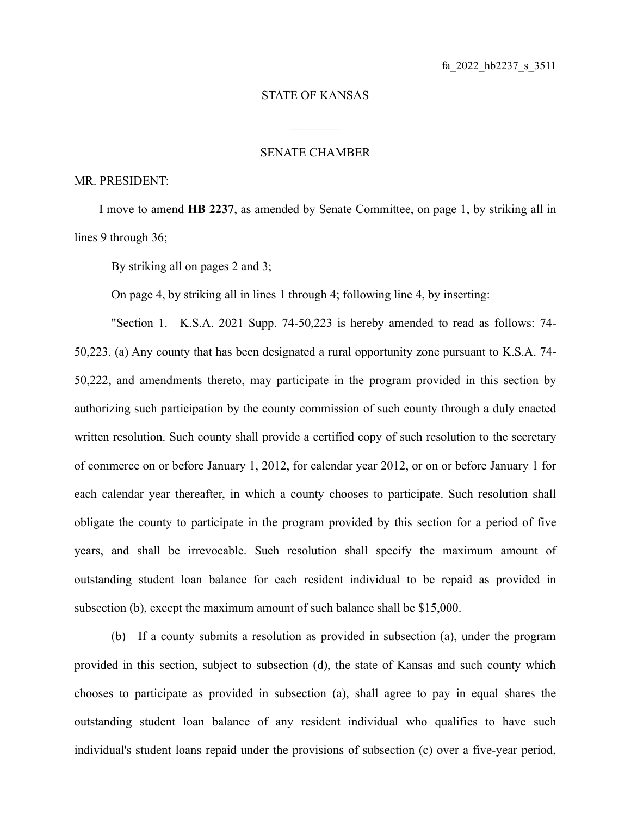## STATE OF KANSAS

 $\mathcal{L}_\text{max}$ 

## SENATE CHAMBER

## MR. PRESIDENT:

I move to amend **HB 2237**, as amended by Senate Committee, on page 1, by striking all in lines 9 through 36;

By striking all on pages 2 and 3;

On page 4, by striking all in lines 1 through 4; following line 4, by inserting:

"Section 1. K.S.A. 2021 Supp. 74-50,223 is hereby amended to read as follows: 74- 50,223. (a) Any county that has been designated a rural opportunity zone pursuant to K.S.A. 74- 50,222, and amendments thereto, may participate in the program provided in this section by authorizing such participation by the county commission of such county through a duly enacted written resolution. Such county shall provide a certified copy of such resolution to the secretary of commerce on or before January 1, 2012, for calendar year 2012, or on or before January 1 for each calendar year thereafter, in which a county chooses to participate. Such resolution shall obligate the county to participate in the program provided by this section for a period of five years, and shall be irrevocable. Such resolution shall specify the maximum amount of outstanding student loan balance for each resident individual to be repaid as provided in subsection (b), except the maximum amount of such balance shall be \$15,000.

(b) If a county submits a resolution as provided in subsection (a), under the program provided in this section, subject to subsection (d), the state of Kansas and such county which chooses to participate as provided in subsection (a), shall agree to pay in equal shares the outstanding student loan balance of any resident individual who qualifies to have such individual's student loans repaid under the provisions of subsection (c) over a five-year period,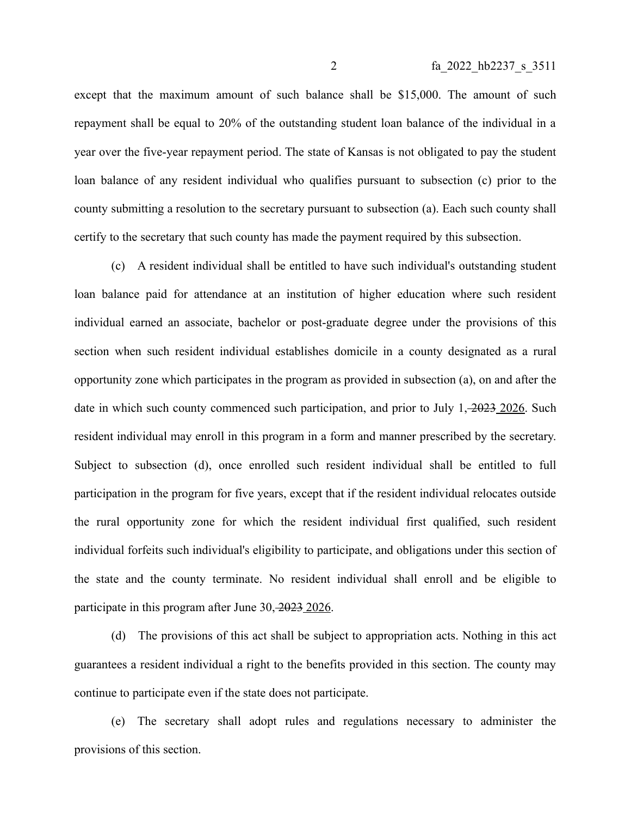except that the maximum amount of such balance shall be \$15,000. The amount of such repayment shall be equal to 20% of the outstanding student loan balance of the individual in a year over the five-year repayment period. The state of Kansas is not obligated to pay the student loan balance of any resident individual who qualifies pursuant to subsection (c) prior to the county submitting a resolution to the secretary pursuant to subsection (a). Each such county shall certify to the secretary that such county has made the payment required by this subsection.

(c) A resident individual shall be entitled to have such individual's outstanding student loan balance paid for attendance at an institution of higher education where such resident individual earned an associate, bachelor or post-graduate degree under the provisions of this section when such resident individual establishes domicile in a county designated as a rural opportunity zone which participates in the program as provided in subsection (a), on and after the date in which such county commenced such participation, and prior to July 1, 2023 2026. Such resident individual may enroll in this program in a form and manner prescribed by the secretary. Subject to subsection (d), once enrolled such resident individual shall be entitled to full participation in the program for five years, except that if the resident individual relocates outside the rural opportunity zone for which the resident individual first qualified, such resident individual forfeits such individual's eligibility to participate, and obligations under this section of the state and the county terminate. No resident individual shall enroll and be eligible to participate in this program after June 30, 2023 2026.

(d) The provisions of this act shall be subject to appropriation acts. Nothing in this act guarantees a resident individual a right to the benefits provided in this section. The county may continue to participate even if the state does not participate.

(e) The secretary shall adopt rules and regulations necessary to administer the provisions of this section.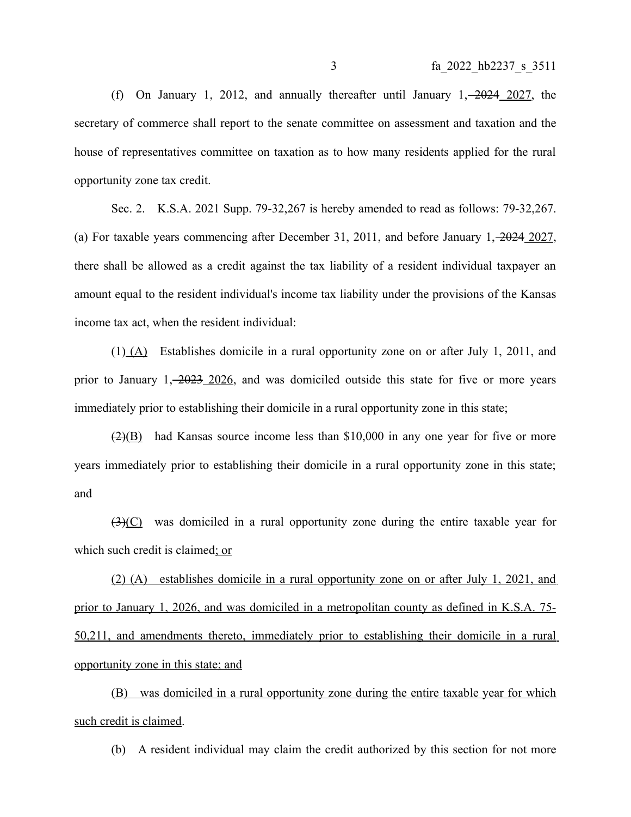(f) On January 1, 2012, and annually thereafter until January  $1, -2024$  2027, the secretary of commerce shall report to the senate committee on assessment and taxation and the house of representatives committee on taxation as to how many residents applied for the rural opportunity zone tax credit.

Sec. 2. K.S.A. 2021 Supp. 79-32,267 is hereby amended to read as follows: 79-32,267. (a) For taxable years commencing after December 31, 2011, and before January 1, 2024 2027, there shall be allowed as a credit against the tax liability of a resident individual taxpayer an amount equal to the resident individual's income tax liability under the provisions of the Kansas income tax act, when the resident individual:

 $(1)$  (A) Establishes domicile in a rural opportunity zone on or after July 1, 2011, and prior to January  $1, -2023, -2026$ , and was domiciled outside this state for five or more years immediately prior to establishing their domicile in a rural opportunity zone in this state;

 $\left(\frac{2}{\sqrt{B}}\right)$  had Kansas source income less than \$10,000 in any one year for five or more years immediately prior to establishing their domicile in a rural opportunity zone in this state; and

 $(3)(C)$  was domiciled in a rural opportunity zone during the entire taxable year for which such credit is claimed; or

(2) (A) establishes domicile in a rural opportunity zone on or after July 1, 2021, and prior to January 1, 2026, and was domiciled in a metropolitan county as defined in K.S.A. 75- 50,211, and amendments thereto, immediately prior to establishing their domicile in a rural opportunity zone in this state; and

(B) was domiciled in a rural opportunity zone during the entire taxable year for which such credit is claimed.

(b) A resident individual may claim the credit authorized by this section for not more